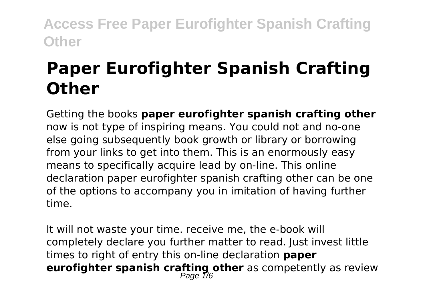# **Paper Eurofighter Spanish Crafting Other**

Getting the books **paper eurofighter spanish crafting other** now is not type of inspiring means. You could not and no-one else going subsequently book growth or library or borrowing from your links to get into them. This is an enormously easy means to specifically acquire lead by on-line. This online declaration paper eurofighter spanish crafting other can be one of the options to accompany you in imitation of having further time.

It will not waste your time. receive me, the e-book will completely declare you further matter to read. Just invest little times to right of entry this on-line declaration **paper eurofighter spanish crafting other** as competently as review Page 1/6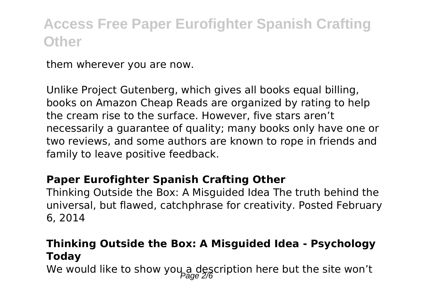them wherever you are now.

Unlike Project Gutenberg, which gives all books equal billing, books on Amazon Cheap Reads are organized by rating to help the cream rise to the surface. However, five stars aren't necessarily a guarantee of quality; many books only have one or two reviews, and some authors are known to rope in friends and family to leave positive feedback.

#### **Paper Eurofighter Spanish Crafting Other**

Thinking Outside the Box: A Misguided Idea The truth behind the universal, but flawed, catchphrase for creativity. Posted February 6, 2014

#### **Thinking Outside the Box: A Misguided Idea - Psychology Today**

We would like to show you a description here but the site won't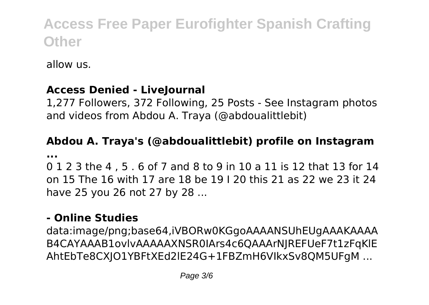allow us.

### **Access Denied - Livelournal**

1,277 Followers, 372 Following, 25 Posts - See Instagram photos and videos from Abdou A. Trava (@abdoualittlebit)

#### Abdou A. Traya's (@abdoualittlebit) profile on Instagram  $\cdots$

0 1 2 3 the 4, 5, 6 of 7 and 8 to 9 in 10 a 11 is 12 that 13 for 14 on 15 The 16 with 17 are 18 be 19 | 20 this 21 as 22 we 23 it 24 have 25 you 26 not 27 by 28 ...

### - Online Studies

data:image/png:base64.iVBORw0KGgoAAAANSUhEUgAAAKAAAA B4CAYAAAB1ovlvAAAAAXNSR0IArs4c6QAAArNJREFUeF7t1zFqKIE AhtEbTe8CXJO1YBFtXEd2lE24G+1FBZmH6VlkxSv8QM5UFgM ...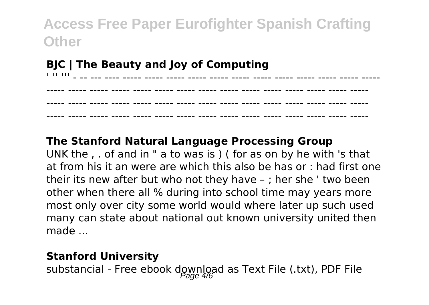### **BJC | The Beauty and Joy of Computing**

' '' ''' - -- --- ---- ----- ----- ----- ----- ----- ----- ----- ----- ----- ----- ----- -----  $-$ ----- ----- ----- ----- ----- ----- ----- ----- ----- ----- ----- ----- ----- ----- ----- ----- ----- ----- ----- ----- ----- ----- ----- ----- ----- ----- ----- ----- ----- -----

### **The Stanford Natural Language Processing Group**

UNK the , . of and in " a to was is ) ( for as on by he with 's that at from his it an were are which this also be has or : had first one their its new after but who not they have – ; her she ' two been other when there all % during into school time may years more most only over city some world would where later up such used many can state about national out known university united then made ...

#### **Stanford University**

substancial - Free ebook download as Text File (.txt), PDF File